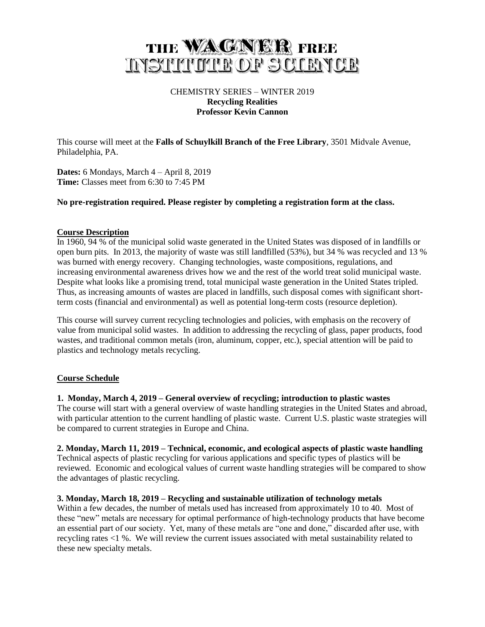# THE WAGNER FREE **INSTITUTE OF SCIENCE**

# CHEMISTRY SERIES – WINTER 2019 **Recycling Realities Professor Kevin Cannon**

This course will meet at the **Falls of Schuylkill Branch of the Free Library**, 3501 Midvale Avenue, Philadelphia, PA.

**Dates:** 6 Mondays, March 4 – April 8, 2019 **Time:** Classes meet from 6:30 to 7:45 PM

## **No pre-registration required. Please register by completing a registration form at the class.**

## **Course Description**

In 1960, 94 % of the municipal solid waste generated in the United States was disposed of in landfills or open burn pits. In 2013, the majority of waste was still landfilled (53%), but 34 % was recycled and 13 % was burned with energy recovery. Changing technologies, waste compositions, regulations, and increasing environmental awareness drives how we and the rest of the world treat solid municipal waste. Despite what looks like a promising trend, total municipal waste generation in the United States tripled. Thus, as increasing amounts of wastes are placed in landfills, such disposal comes with significant shortterm costs (financial and environmental) as well as potential long-term costs (resource depletion).

This course will survey current recycling technologies and policies, with emphasis on the recovery of value from municipal solid wastes. In addition to addressing the recycling of glass, paper products, food wastes, and traditional common metals (iron, aluminum, copper, etc.), special attention will be paid to plastics and technology metals recycling.

## **Course Schedule**

## **1. Monday, March 4, 2019 – General overview of recycling; introduction to plastic wastes**

The course will start with a general overview of waste handling strategies in the United States and abroad, with particular attention to the current handling of plastic waste. Current U.S. plastic waste strategies will be compared to current strategies in Europe and China.

#### **2. Monday, March 11, 2019 – Technical, economic, and ecological aspects of plastic waste handling**

Technical aspects of plastic recycling for various applications and specific types of plastics will be reviewed. Economic and ecological values of current waste handling strategies will be compared to show the advantages of plastic recycling.

#### **3. Monday, March 18, 2019 – Recycling and sustainable utilization of technology metals**

Within a few decades, the number of metals used has increased from approximately 10 to 40. Most of these "new" metals are necessary for optimal performance of high-technology products that have become an essential part of our society. Yet, many of these metals are "one and done," discarded after use, with recycling rates <1 %. We will review the current issues associated with metal sustainability related to these new specialty metals.